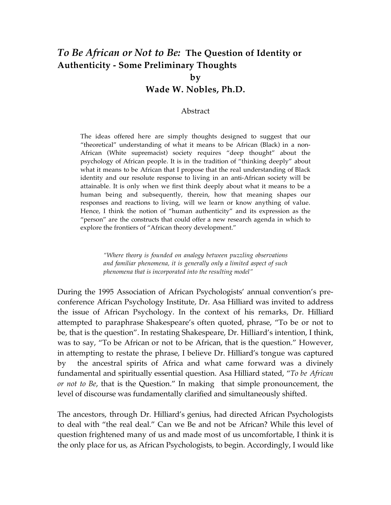## *To Be African or Not to Be:* **The Question of Identity or Authenticity - Some Preliminary Thoughts by**

**Wade W. Nobles, Ph.D.**

#### Abstract

The ideas offered here are simply thoughts designed to suggest that our "theoretical" understanding of what it means to be African (Black) in a non-African (White supremacist) society requires "deep thought" about the psychology of African people. It is in the tradition of "thinking deeply" about what it means to be African that I propose that the real understanding of Black identity and our resolute response to living in an anti-African society will be attainable. It is only when we first think deeply about what it means to be a human being and subsequently, therein, how that meaning shapes our responses and reactions to living, will we learn or know anything of value. Hence, I think the notion of "human authenticity" and its expression as the "person" are the constructs that could offer a new research agenda in which to explore the frontiers of "African theory development."

*"Where theory is founded on analogy between puzzling observations and familiar phenomena, it is generally only a limited aspect of such phenomena that is incorporated into the resulting model"*

During the 1995 Association of African Psychologists' annual convention's preconference African Psychology Institute, Dr. Asa Hilliard was invited to address the issue of African Psychology. In the context of his remarks, Dr. Hilliard attempted to paraphrase Shakespeare's often quoted, phrase, "To be or not to be, that is the question". In restating Shakespeare, Dr. Hilliard's intention, I think, was to say, "To be African or not to be African, that is the question." However, in attempting to restate the phrase, I believe Dr. Hilliard's tongue was captured by the ancestral spirits of Africa and what came forward was a divinely fundamental and spiritually essential question. Asa Hilliard stated, "*To be African or not to Be*, that is the Question." In making that simple pronouncement, the level of discourse was fundamentally clarified and simultaneously shifted.

The ancestors, through Dr. Hilliard's genius, had directed African Psychologists to deal with "the real deal." Can we Be and not be African? While this level of question frightened many of us and made most of us uncomfortable, I think it is the only place for us, as African Psychologists, to begin. Accordingly, I would like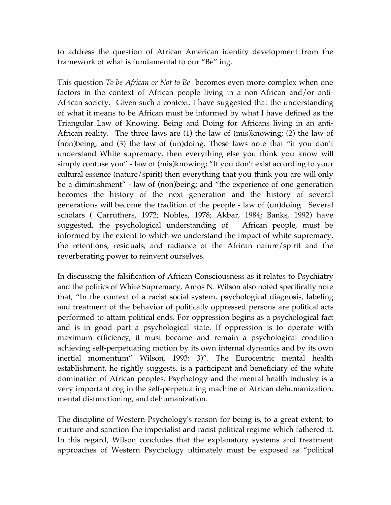to address the question of African American identity development from the framework of what is fundamental to our "Be" ing.

This question *To be African or Not to Be* becomes even more complex when one factors in the context of African people living in a non-African and/or anti-African society. Given such a context, I have suggested that the understanding of what it means to be African must be informed by what I have defined as the Triangular Law of Knowing, Being and Doing for Africans living in an anti-African reality. The three laws are (1) the law of (mis)knowing; (2) the law of (non)being; and (3) the law of (un)doing. These laws note that "if you don't understand White supremacy, then everything else you think you know will simply confuse you" - law of (mis)knowing; "If you don't exist according to your cultural essence (nature/spirit) then everything that you think you are will only be a diminishment" - law of (non)being; and "the experience of one generation becomes the history of the next generation and the history of several generations will become the tradition of the people - law of (un)doing. Several scholars ( Carruthers, 1972; Nobles, 1978; Akbar, 1984; Banks, 1992) have suggested, the psychological understanding of African people, must be informed by the extent to which we understand the impact of white supremacy, the retentions, residuals, and radiance of the African nature/spirit and the reverberating power to reinvent ourselves.

In discussing the falsification of African Consciousness as it relates to Psychiatry and the politics of White Supremacy, Amos N. Wilson also noted specifically note that, "In the context of a racist social system, psychological diagnosis, labeling and treatment of the behavior of politically oppressed persons are political acts performed to attain political ends. For oppression begins as a psychological fact and is in good part a psychological state. If oppression is to operate with maximum efficiency, it must become and remain a psychological condition achieving self-perpetuating motion by its own internal dynamics and by its own inertial momentum" Wilson, 1993: 3)". The Eurocentric mental health establishment, he rightly suggests, is a participant and beneficiary of the white domination of African peoples. Psychology and the mental health industry is a very important cog in the self-perpetuating machine of African dehumanization, mental disfunctioning, and dehumanization.

The discipline of Western Psychology's reason for being is, to a great extent, to nurture and sanction the imperialist and racist political regime which fathered it. In this regard, Wilson concludes that the explanatory systems and treatment approaches of Western Psychology ultimately must be exposed as "political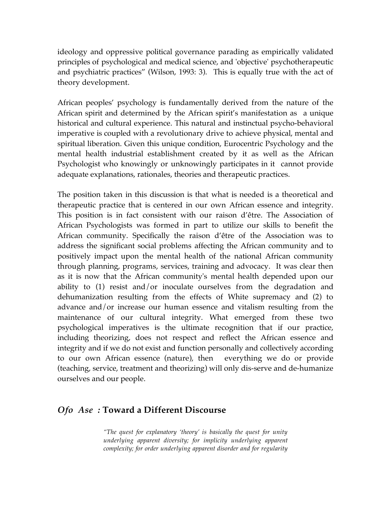ideology and oppressive political governance parading as empirically validated principles of psychological and medical science, and 'objective' psychotherapeutic and psychiatric practices" (Wilson, 1993: 3). This is equally true with the act of theory development.

African peoples' psychology is fundamentally derived from the nature of the African spirit and determined by the African spirit's manifestation as a unique historical and cultural experience. This natural and instinctual psycho-behavioral imperative is coupled with a revolutionary drive to achieve physical, mental and spiritual liberation. Given this unique condition, Eurocentric Psychology and the mental health industrial establishment created by it as well as the African Psychologist who knowingly or unknowingly participates in it cannot provide adequate explanations, rationales, theories and therapeutic practices.

The position taken in this discussion is that what is needed is a theoretical and therapeutic practice that is centered in our own African essence and integrity. This position is in fact consistent with our raison d'être. The Association of African Psychologists was formed in part to utilize our skills to benefit the African community. Specifically the raison d'être of the Association was to address the significant social problems affecting the African community and to positively impact upon the mental health of the national African community through planning, programs, services, training and advocacy. It was clear then as it is now that the African community's mental health depended upon our ability to (1) resist and/or inoculate ourselves from the degradation and dehumanization resulting from the effects of White supremacy and (2) to advance and/or increase our human essence and vitalism resulting from the maintenance of our cultural integrity. What emerged from these two psychological imperatives is the ultimate recognition that if our practice, including theorizing, does not respect and reflect the African essence and integrity and if we do not exist and function personally and collectively according to our own African essence (nature), then everything we do or provide (teaching, service, treatment and theorizing) will only dis-serve and de-humanize ourselves and our people.

### *Ofo Ase :* **Toward a Different Discourse**

*"The quest for explanatory 'theory' is basically the quest for unity underlying apparent diversity; for implicity underlying apparent complexity; for order underlying apparent disorder and for regularity*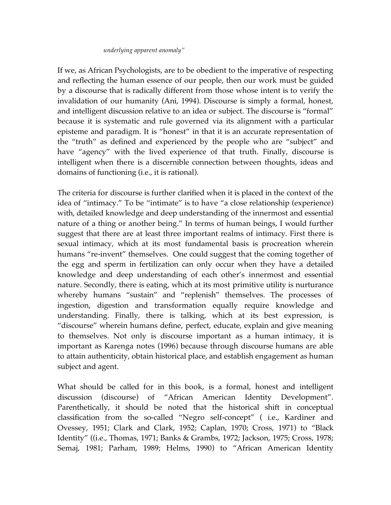#### *underlying apparent anomaly"*

If we, as African Psychologists, are to be obedient to the imperative of respecting and reflecting the human essence of our people, then our work must be guided by a discourse that is radically different from those whose intent is to verify the invalidation of our humanity (Ani, 1994). Discourse is simply a formal, honest, and intelligent discussion relative to an idea or subject. The discourse is "formal" because it is systematic and rule governed via its alignment with a particular episteme and paradigm. It is "honest" in that it is an accurate representation of the "truth" as defined and experienced by the people who are "subject" and have "agency" with the lived experience of that truth. Finally, discourse is intelligent when there is a discernible connection between thoughts, ideas and domains of functioning (i.e., it is rational).

The criteria for discourse is further clarified when it is placed in the context of the idea of "intimacy." To be "intimate" is to have "a close relationship (experience) with, detailed knowledge and deep understanding of the innermost and essential nature of a thing or another being." In terms of human beings, I would further suggest that there are at least three important realms of intimacy. First there is sexual intimacy, which at its most fundamental basis is procreation wherein humans "re-invent" themselves. One could suggest that the coming together of the egg and sperm in fertilization can only occur when they have a detailed knowledge and deep understanding of each other's innermost and essential nature. Secondly, there is eating, which at its most primitive utility is nurturance whereby humans "sustain" and "replenish" themselves. The processes of ingestion, digestion and transformation equally require knowledge and understanding. Finally, there is talking, which at its best expression, is "discourse" wherein humans define, perfect, educate, explain and give meaning to themselves. Not only is discourse important as a human intimacy, it is important as Karenga notes (1996) because through discourse humans are able to attain authenticity, obtain historical place, and establish engagement as human subject and agent.

What should be called for in this book, is a formal, honest and intelligent discussion (discourse) of "African American Identity Development". Parenthetically, it should be noted that the historical shift in conceptual classification from the so-called "Negro self-concept" ( i.e., Kardiner and Ovessey, 1951; Clark and Clark, 1952; Caplan, 1970; Cross, 1971) to "Black Identity" ((i.e., Thomas, 1971; Banks & Grambs, 1972; Jackson, 1975; Cross, 1978; Semaj, 1981; Parham, 1989; Helms, 1990) to "African American Identity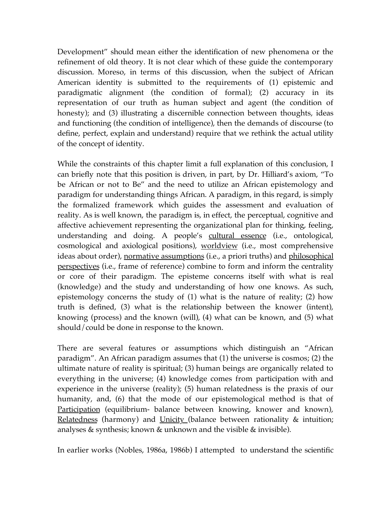Development" should mean either the identification of new phenomena or the refinement of old theory. It is not clear which of these guide the contemporary discussion. Moreso, in terms of this discussion, when the subject of African American identity is submitted to the requirements of (1) epistemic and paradigmatic alignment (the condition of formal); (2) accuracy in its representation of our truth as human subject and agent (the condition of honesty); and (3) illustrating a discernible connection between thoughts, ideas and functioning (the condition of intelligence), then the demands of discourse (to define, perfect, explain and understand) require that we rethink the actual utility of the concept of identity.

While the constraints of this chapter limit a full explanation of this conclusion, I can briefly note that this position is driven, in part, by Dr. Hilliard's axiom, "To be African or not to Be" and the need to utilize an African epistemology and paradigm for understanding things African. A paradigm, in this regard, is simply the formalized framework which guides the assessment and evaluation of reality. As is well known, the paradigm is, in effect, the perceptual, cognitive and affective achievement representing the organizational plan for thinking, feeling, understanding and doing. A people's cultural essence (i.e., ontological, cosmological and axiological positions), worldview (i.e., most comprehensive ideas about order), normative assumptions (i.e., a priori truths) and philosophical perspectives (i.e., frame of reference) combine to form and inform the centrality or core of their paradigm. The episteme concerns itself with what is real (knowledge) and the study and understanding of how one knows. As such, epistemology concerns the study of (1) what is the nature of reality; (2) how truth is defined, (3) what is the relationship between the knower (intent), knowing (process) and the known (will), (4) what can be known, and (5) what should/could be done in response to the known.

There are several features or assumptions which distinguish an "African paradigm". An African paradigm assumes that (1) the universe is cosmos; (2) the ultimate nature of reality is spiritual; (3) human beings are organically related to everything in the universe; (4) knowledge comes from participation with and experience in the universe (reality); (5) human relatedness is the praxis of our humanity, and, (6) that the mode of our epistemological method is that of Participation (equilibrium- balance between knowing, knower and known), Relatedness (harmony) and Unicity (balance between rationality & intuition; analyses & synthesis; known & unknown and the visible & invisible).

In earlier works (Nobles, 1986a, 1986b) I attempted to understand the scientific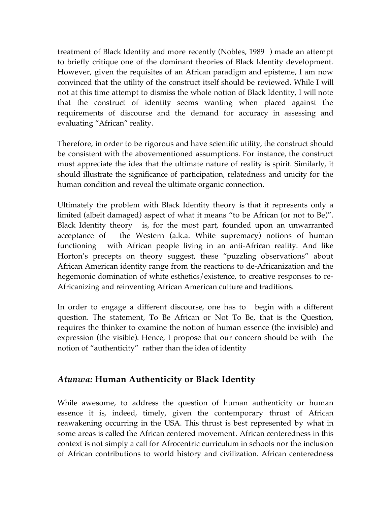treatment of Black Identity and more recently (Nobles, 1989 ) made an attempt to briefly critique one of the dominant theories of Black Identity development. However, given the requisites of an African paradigm and episteme, I am now convinced that the utility of the construct itself should be reviewed. While I will not at this time attempt to dismiss the whole notion of Black Identity, I will note that the construct of identity seems wanting when placed against the requirements of discourse and the demand for accuracy in assessing and evaluating "African" reality.

Therefore, in order to be rigorous and have scientific utility, the construct should be consistent with the abovementioned assumptions. For instance, the construct must appreciate the idea that the ultimate nature of reality is spirit. Similarly, it should illustrate the significance of participation, relatedness and unicity for the human condition and reveal the ultimate organic connection.

Ultimately the problem with Black Identity theory is that it represents only a limited (albeit damaged) aspect of what it means "to be African (or not to Be)". Black Identity theory is, for the most part, founded upon an unwarranted acceptance of the Western (a.k.a. White supremacy) notions of human functioning with African people living in an anti-African reality. And like Horton's precepts on theory suggest, these "puzzling observations" about African American identity range from the reactions to de-Africanization and the hegemonic domination of white esthetics/existence, to creative responses to re-Africanizing and reinventing African American culture and traditions.

In order to engage a different discourse, one has to begin with a different question. The statement, To Be African or Not To Be, that is the Question, requires the thinker to examine the notion of human essence (the invisible) and expression (the visible). Hence, I propose that our concern should be with the notion of "authenticity" rather than the idea of identity

## *Atunwa:* **Human Authenticity or Black Identity**

While awesome, to address the question of human authenticity or human essence it is, indeed, timely, given the contemporary thrust of African reawakening occurring in the USA. This thrust is best represented by what in some areas is called the African centered movement. African centeredness in this context is not simply a call for Afrocentric curriculum in schools nor the inclusion of African contributions to world history and civilization. African centeredness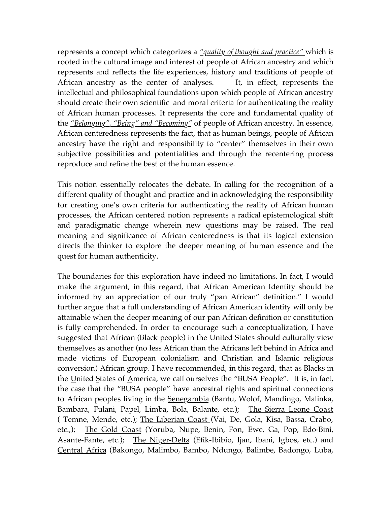represents a concept which categorizes a *"quality of thought and practice"* which is rooted in the cultural image and interest of people of African ancestry and which represents and reflects the life experiences, history and traditions of people of African ancestry as the center of analyses. It, in effect, represents the intellectual and philosophical foundations upon which people of African ancestry should create their own scientific and moral criteria for authenticating the reality of African human processes. It represents the core and fundamental quality of the *"Belonging", "Being" and "Becoming"* of people of African ancestry. In essence, African centeredness represents the fact, that as human beings, people of African ancestry have the right and responsibility to "center" themselves in their own subjective possibilities and potentialities and through the recentering process reproduce and refine the best of the human essence.

This notion essentially relocates the debate. In calling for the recognition of a different quality of thought and practice and in acknowledging the responsibility for creating one's own criteria for authenticating the reality of African human processes, the African centered notion represents a radical epistemological shift and paradigmatic change wherein new questions may be raised. The real meaning and significance of African centeredness is that its logical extension directs the thinker to explore the deeper meaning of human essence and the quest for human authenticity.

The boundaries for this exploration have indeed no limitations. In fact, I would make the argument, in this regard, that African American Identity should be informed by an appreciation of our truly "pan African" definition." I would further argue that a full understanding of African American identity will only be attainable when the deeper meaning of our pan African definition or constitution is fully comprehended. In order to encourage such a conceptualization, I have suggested that African (Black people) in the United States should culturally view themselves as another (no less African than the Africans left behind in Africa and made victims of European colonialism and Christian and Islamic religious conversion) African group. I have recommended, in this regard, that as Blacks in the United States of  $\Delta$ merica, we call ourselves the "BUSA People". It is, in fact, the case that the "BUSA people" have ancestral rights and spiritual connections to African peoples living in the Senegambia (Bantu, Wolof, Mandingo, Malinka, Bambara, Fulani, Papel, Limba, Bola, Balante, etc.); The Sierra Leone Coast ( Temne, Mende, etc.); The Liberian Coast (Vai, De, Gola, Kisa, Bassa, Crabo, etc.,); The Gold Coast (Yoruba, Nupe, Benin, Fon, Ewe, Ga, Pop, Edo-Bini, Asante-Fante, etc.); The Niger-Delta (Efik-Ibibio, Ijan, Ibani, Igbos, etc.) and Central Africa (Bakongo, Malimbo, Bambo, Ndungo, Balimbe, Badongo, Luba,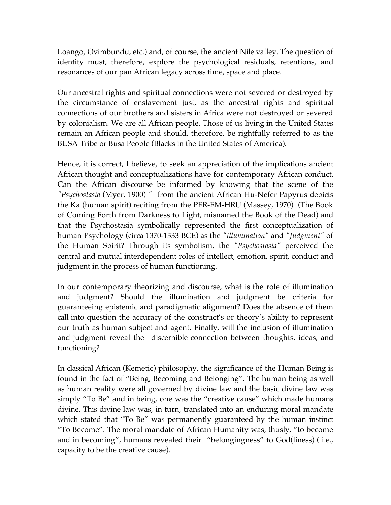Loango, Ovimbundu, etc.) and, of course, the ancient Nile valley. The question of identity must, therefore, explore the psychological residuals, retentions, and resonances of our pan African legacy across time, space and place.

Our ancestral rights and spiritual connections were not severed or destroyed by the circumstance of enslavement just, as the ancestral rights and spiritual connections of our brothers and sisters in Africa were not destroyed or severed by colonialism. We are all African people. Those of us living in the United States remain an African people and should, therefore, be rightfully referred to as the BUSA Tribe or Busa People (Blacks in the United States of America).

Hence, it is correct, I believe, to seek an appreciation of the implications ancient African thought and conceptualizations have for contemporary African conduct. Can the African discourse be informed by knowing that the scene of the *"Psychostasia* (Myer, 1900) *"* from the ancient African Hu-Nefer Papyrus depicts the Ka (human spirit) reciting from the PER-EM-HRU (Massey, 1970) (The Book of Coming Forth from Darkness to Light, misnamed the Book of the Dead) and that the Psychostasia symbolically represented the first conceptualization of human Psychology (circa 1370-1333 BCE) as the *"Illumination"* and *"Judgment"* of the Human Spirit? Through its symbolism, the *"Psychostasia"* perceived the central and mutual interdependent roles of intellect, emotion, spirit, conduct and judgment in the process of human functioning.

In our contemporary theorizing and discourse, what is the role of illumination and judgment? Should the illumination and judgment be criteria for guaranteeing epistemic and paradigmatic alignment? Does the absence of them call into question the accuracy of the construct's or theory's ability to represent our truth as human subject and agent. Finally, will the inclusion of illumination and judgment reveal the discernible connection between thoughts, ideas, and functioning?

In classical African (Kemetic) philosophy, the significance of the Human Being is found in the fact of "Being, Becoming and Belonging". The human being as well as human reality were all governed by divine law and the basic divine law was simply "To Be" and in being, one was the "creative cause" which made humans divine. This divine law was, in turn, translated into an enduring moral mandate which stated that "To Be" was permanently guaranteed by the human instinct "To Become". The moral mandate of African Humanity was, thusly, "to become and in becoming", humans revealed their "belongingness" to God(liness) ( i.e., capacity to be the creative cause).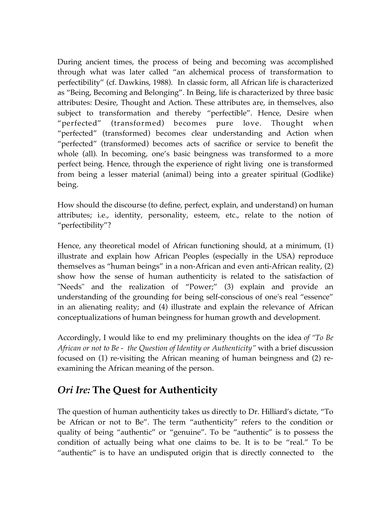During ancient times, the process of being and becoming was accomplished through what was later called "an alchemical process of transformation to perfectibility" (cf. Dawkins, 1988). In classic form, all African life is characterized as "Being, Becoming and Belonging". In Being, life is characterized by three basic attributes: Desire, Thought and Action. These attributes are, in themselves, also subject to transformation and thereby "perfectible". Hence, Desire when "perfected" (transformed) becomes pure love. Thought when "perfected" (transformed) becomes clear understanding and Action when "perfected" (transformed) becomes acts of sacrifice or service to benefit the whole (all). In becoming, one's basic beingness was transformed to a more perfect being. Hence, through the experience of right living one is transformed from being a lesser material (animal) being into a greater spiritual (Godlike) being.

How should the discourse (to define, perfect, explain, and understand) on human attributes; i.e., identity, personality, esteem, etc., relate to the notion of "perfectibility"?

Hence, any theoretical model of African functioning should, at a minimum, (1) illustrate and explain how African Peoples (especially in the USA) reproduce themselves as "human beings" in a non-African and even anti-African reality, (2) show how the sense of human authenticity is related to the satisfaction of "Needs" and the realization of "Power;" (3) explain and provide an understanding of the grounding for being self-conscious of one's real "essence" in an alienating reality; and (4) illustrate and explain the relevance of African conceptualizations of human beingness for human growth and development.

Accordingly, I would like to end my preliminary thoughts on the idea *of "To Be African or not to Be - the Question of Identity or Authenticity"* with a brief discussion focused on (1) re-visiting the African meaning of human beingness and (2) reexamining the African meaning of the person.

# *Ori Ire:* **The Quest for Authenticity**

The question of human authenticity takes us directly to Dr. Hilliard's dictate, "To be African or not to Be". The term "authenticity" refers to the condition or quality of being "authentic" or "genuine". To be "authentic" is to possess the condition of actually being what one claims to be. It is to be "real." To be "authentic" is to have an undisputed origin that is directly connected to the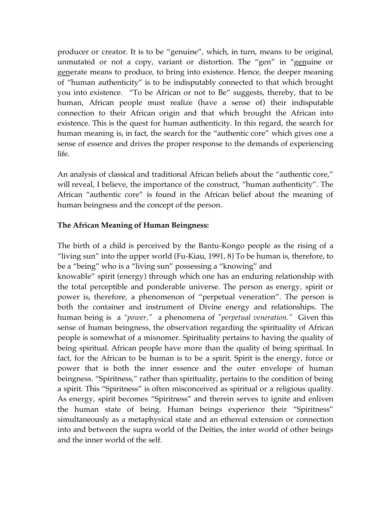producer or creator. It is to be "genuine", which, in turn, means to be original, unmutated or not a copy, variant or distortion. The "gen" in "genuine or generate means to produce, to bring into existence. Hence, the deeper meaning of "human authenticity" is to be indisputably connected to that which brought you into existence. "To be African or not to Be" suggests, thereby, that to be human, African people must realize (have a sense of) their indisputable connection to their African origin and that which brought the African into existence. This is the quest for human authenticity. In this regard, the search for human meaning is, in fact, the search for the "authentic core" which gives one a sense of essence and drives the proper response to the demands of experiencing life.

An analysis of classical and traditional African beliefs about the "authentic core," will reveal, I believe, the importance of the construct, "human authenticity". The African "authentic core" is found in the African belief about the meaning of human beingness and the concept of the person.

### **The African Meaning of Human Beingness:**

The birth of a child is perceived by the Bantu-Kongo people as the rising of a "living sun" into the upper world (Fu-Kiau, 1991, 8) To be human is, therefore, to be a "being" who is a "living sun" possessing a "knowing" and

knowable" spirit (energy) through which one has an enduring relationship with the total perceptible and ponderable universe. The person as energy, spirit or power is, therefore, a phenomenon of "perpetual veneration". The person is both the container and instrument of Divine energy and relationships. The human being is a *"power,"* a phenomena of *"perpetual veneration."* Given this sense of human beingness, the observation regarding the spirituality of African people is somewhat of a misnomer. Spirituality pertains to having the quality of being spiritual. African people have more than the quality of being spiritual. In fact, for the African to be human is to be a spirit. Spirit is the energy, force or power that is both the inner essence and the outer envelope of human beingness. "Spiritness," rather than spirituality, pertains to the condition of being a spirit. This "Spiritness" is often misconceived as spiritual or a religious quality. As energy, spirit becomes "Spiritness" and therein serves to ignite and enliven the human state of being. Human beings experience their "Spiritness" simultaneously as a metaphysical state and an ethereal extension or connection into and between the supra world of the Deities, the inter world of other beings and the inner world of the self.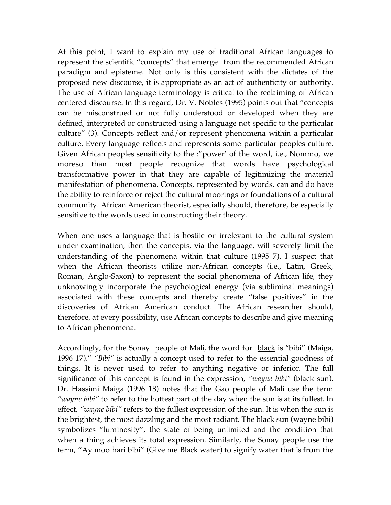At this point, I want to explain my use of traditional African languages to represent the scientific "concepts" that emerge from the recommended African paradigm and episteme. Not only is this consistent with the dictates of the proposed new discourse, it is appropriate as an act of <u>authenticity</u> or <u>authority</u>. The use of African language terminology is critical to the reclaiming of African centered discourse. In this regard, Dr. V. Nobles (1995) points out that "concepts can be misconstrued or not fully understood or developed when they are defined, interpreted or constructed using a language not specific to the particular culture" (3). Concepts reflect and/or represent phenomena within a particular culture. Every language reflects and represents some particular peoples culture. Given African peoples sensitivity to the :"power' of the word, i.e., Nommo, we moreso than most people recognize that words have psychological transformative power in that they are capable of legitimizing the material manifestation of phenomena. Concepts, represented by words, can and do have the ability to reinforce or reject the cultural moorings or foundations of a cultural community. African American theorist, especially should, therefore, be especially sensitive to the words used in constructing their theory.

When one uses a language that is hostile or irrelevant to the cultural system under examination, then the concepts, via the language, will severely limit the understanding of the phenomena within that culture (1995 7). I suspect that when the African theorists utilize non-African concepts (i.e., Latin, Greek, Roman, Anglo-Saxon) to represent the social phenomena of African life, they unknowingly incorporate the psychological energy (via subliminal meanings) associated with these concepts and thereby create "false positives" in the discoveries of African American conduct. The African researcher should, therefore, at every possibility, use African concepts to describe and give meaning to African phenomena.

Accordingly, for the Sonay people of Mali, the word for black is "bibi" (Maiga, 1996 17)." *"Bibi"* is actually a concept used to refer to the essential goodness of things. It is never used to refer to anything negative or inferior. The full significance of this concept is found in the expression, *"wayne bibi"* (black sun). Dr. Hassimi Maiga (1996 18) notes that the Gao people of Mali use the term *"wayne bibi"* to refer to the hottest part of the day when the sun is at its fullest. In effect, *"wayne bibi"* refers to the fullest expression of the sun. It is when the sun is the brightest, the most dazzling and the most radiant. The black sun (wayne bibi) symbolizes "luminosity", the state of being unlimited and the condition that when a thing achieves its total expression. Similarly, the Sonay people use the term, "Ay moo hari bibi" (Give me Black water) to signify water that is from the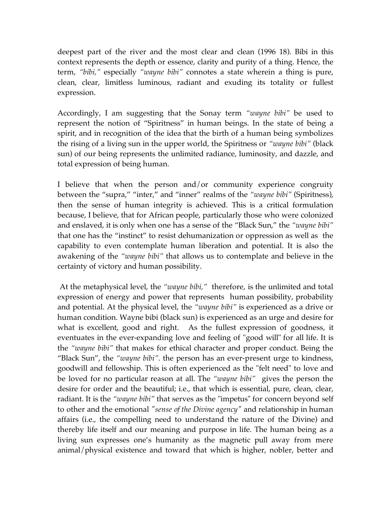deepest part of the river and the most clear and clean (1996 18). Bibi in this context represents the depth or essence, clarity and purity of a thing. Hence, the term, *"bibi,"* especially *"wayne bibi"* connotes a state wherein a thing is pure, clean, clear, limitless luminous, radiant and exuding its totality or fullest expression.

Accordingly, I am suggesting that the Sonay term *"wayne bibi"* be used to represent the notion of "Spiritness" in human beings. In the state of being a spirit, and in recognition of the idea that the birth of a human being symbolizes the rising of a living sun in the upper world, the Spiritness or *"wayne bibi"* (black sun) of our being represents the unlimited radiance, luminosity, and dazzle, and total expression of being human.

I believe that when the person and/or community experience congruity between the "supra," "inter," and "inner" realms of the *"wayne bibi"* (Spiritness), then the sense of human integrity is achieved. This is a critical formulation because, I believe, that for African people, particularly those who were colonized and enslaved, it is only when one has a sense of the "Black Sun," the *"wayne bibi"* that one has the "instinct" to resist dehumanization or oppression as well as the capability to even contemplate human liberation and potential. It is also the awakening of the *"wayne bibi"* that allows us to contemplate and believe in the certainty of victory and human possibility.

 At the metaphysical level, the *"wayne bibi,"* therefore, is the unlimited and total expression of energy and power that represents human possibility, probability and potential. At the physical level, the *"wayne bibi"* is experienced as a drive or human condition. Wayne bibi (black sun) is experienced as an urge and desire for what is excellent, good and right. As the fullest expression of goodness, it eventuates in the ever-expanding love and feeling of "good will" for all life. It is the *"wayne bibi"* that makes for ethical character and proper conduct. Being the "Black Sun", the *"wayne bibi"*. the person has an ever-present urge to kindness, goodwill and fellowship. This is often experienced as the "felt need" to love and be loved for no particular reason at all. The *"wayne bibi"* gives the person the desire for order and the beautiful; i.e., that which is essential, pure, clean, clear, radiant. It is the *"wayne bibi"* that serves as the "impetus" for concern beyond self to other and the emotional *"sense of the Divine agency"* and relationship in human affairs (i.e., the compelling need to understand the nature of the Divine) and thereby life itself and our meaning and purpose in life. The human being as a living sun expresses one's humanity as the magnetic pull away from mere animal/physical existence and toward that which is higher, nobler, better and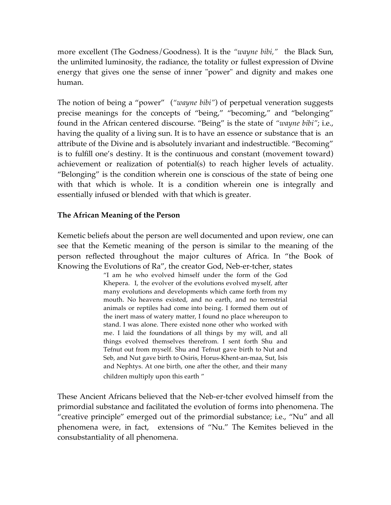more excellent (The Godness/Goodness). It is the *"wayne bibi,"* the Black Sun, the unlimited luminosity, the radiance, the totality or fullest expression of Divine energy that gives one the sense of inner "power" and dignity and makes one human.

The notion of being a "power" (*"wayne bibi"*) of perpetual veneration suggests precise meanings for the concepts of "being," "becoming," and "belonging" found in the African centered discourse. "Being" is the state of *"wayne bibi"*; i.e., having the quality of a living sun. It is to have an essence or substance that is an attribute of the Divine and is absolutely invariant and indestructible. "Becoming" is to fulfill one's destiny. It is the continuous and constant (movement toward) achievement or realization of potential(s) to reach higher levels of actuality. "Belonging" is the condition wherein one is conscious of the state of being one with that which is whole. It is a condition wherein one is integrally and essentially infused or blended with that which is greater.

### **The African Meaning of the Person**

Kemetic beliefs about the person are well documented and upon review, one can see that the Kemetic meaning of the person is similar to the meaning of the person reflected throughout the major cultures of Africa. In "the Book of Knowing the Evolutions of Ra", the creator God, Neb-er-tcher, states

"I am he who evolved himself under the form of the God Khepera. I, the evolver of the evolutions evolved myself, after many evolutions and developments which came forth from my mouth. No heavens existed, and no earth, and no terrestrial animals or reptiles had come into being. I formed them out of the inert mass of watery matter, I found no place whereupon to stand. I was alone. There existed none other who worked with me. I laid the foundations of all things by my will, and all things evolved themselves therefrom. I sent forth Shu and Tefnut out from myself. Shu and Tefnut gave birth to Nut and Seb, and Nut gave birth to Osiris, Horus-Khent-an-maa, Sut, Isis and Nephtys. At one birth, one after the other, and their many children multiply upon this earth "

These Ancient Africans believed that the Neb-er-tcher evolved himself from the primordial substance and facilitated the evolution of forms into phenomena. The "creative principle" emerged out of the primordial substance; i.e., "Nu" and all phenomena were, in fact, extensions of "Nu." The Kemites believed in the consubstantiality of all phenomena.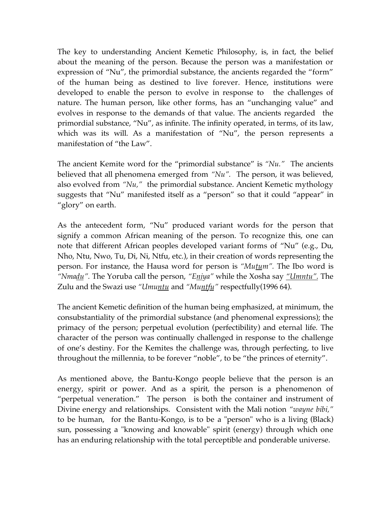The key to understanding Ancient Kemetic Philosophy, is, in fact, the belief about the meaning of the person. Because the person was a manifestation or expression of "Nu", the primordial substance, the ancients regarded the "form" of the human being as destined to live forever. Hence, institutions were developed to enable the person to evolve in response to the challenges of nature. The human person, like other forms, has an "unchanging value" and evolves in response to the demands of that value. The ancients regarded the primordial substance, "Nu", as infinite. The infinity operated, in terms, of its law, which was its will. As a manifestation of "Nu", the person represents a manifestation of "the Law".

The ancient Kemite word for the "primordial substance" is *"Nu."* The ancients believed that all phenomena emerged from *"Nu".* The person, it was believed, also evolved from *"Nu,"* the primordial substance. Ancient Kemetic mythology suggests that "Nu" manifested itself as a "person" so that it could "appear" in "glory" on earth.

As the antecedent form, "Nu" produced variant words for the person that signify a common African meaning of the person. To recognize this, one can note that different African peoples developed variant forms of "Nu" (e.g., Du, Nho, Ntu, Nwo, Tu, Di, Ni, Ntfu, etc.), in their creation of words representing the person. For instance, the Hausa word for person is *"Mutum".* The Ibo word is *"Nmadu".* The Yoruba call the person, *"Eniya"* while the Xosha say *"Umntu".* The Zulu and the Swazi use *"Umuntu* and *"Muntfu"* respectfully(1996 64).

The ancient Kemetic definition of the human being emphasized, at minimum, the consubstantiality of the primordial substance (and phenomenal expressions); the primacy of the person; perpetual evolution (perfectibility) and eternal life. The character of the person was continually challenged in response to the challenge of one's destiny. For the Kemites the challenge was, through perfecting, to live throughout the millennia, to be forever "noble", to be "the princes of eternity".

As mentioned above, the Bantu-Kongo people believe that the person is an energy, spirit or power. And as a spirit, the person is a phenomenon of "perpetual veneration." The person is both the container and instrument of Divine energy and relationships. Consistent with the Mali notion *"wayne bibi,"* to be human, for the Bantu-Kongo, is to be a "person" who is a living (Black) sun, possessing a "knowing and knowable" spirit (energy) through which one has an enduring relationship with the total perceptible and ponderable universe.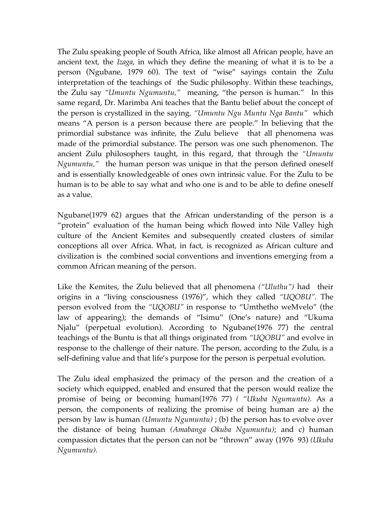The Zulu speaking people of South Africa, like almost all African people, have an ancient text, the *Izaga*, in which they define the meaning of what it is to be a person (Ngubane, 1979 60). The text of "wise" sayings contain the Zulu interpretation of the teachings of the Sudic philosophy. Within these teachings, the Zulu say *"Umuntu Ngumuntu,"* meaning, "the person is human." In this same regard, Dr. Marimba Ani teaches that the Bantu belief about the concept of the person is crystallized in the saying*, "Umuntu Ngu Muntu Nga Bantu"* which means "A person is a person because there are people." In believing that the primordial substance was infinite, the Zulu believe that all phenomena was made of the primordial substance. The person was one such phenomenon. The ancient Zulu philosophers taught, in this regard, that through the *"Umuntu Ngumuntu,"* the human person was unique in that the person defined oneself and is essentially knowledgeable of ones own intrinsic value. For the Zulu to be human is to be able to say what and who one is and to be able to define oneself as a value.

Ngubane(1979 62) argues that the African understanding of the person is a "protein" evaluation of the human being which flowed into Nile Valley high culture of the Ancient Kemites and subsequently created clusters of similar conceptions all over Africa. What, in fact, is recognized as African culture and civilization is the combined social conventions and inventions emerging from a common African meaning of the person.

Like the Kemites, the Zulu believed that all phenomena *("Uluthu")* had their origins in a "living consciousness (1976)", which they called *"UQOBU".* The person evolved from the *"UQOBU"* in response to "Umthetho weMvelo" (the law of appearing); the demands of "Isimu" (One's nature) and "Ukuma Njalu" (perpetual evolution). According to Ngubane(1976 77) the central teachings of the Buntu is that all things originated from *"UQOBU"* and evolve in response to the challenge of their nature. The person, according to the Zulu, is a self-defining value and that life's purpose for the person is perpetual evolution.

The Zulu ideal emphasized the primacy of the person and the creation of a society which equipped, enabled and ensured that the person would realize the promise of being or becoming human(1976 77) *( "Ukuba Ngumuntu).* As a person, the components of realizing the promise of being human are a) the person by law is human *(Umuntu Ngumuntu)* ; (b) the person has to evolve over the distance of being human *(Amabanga Okuba Ngumuntu)*; and c) human compassion dictates that the person can not be "thrown" away (1976 93) *(Ukuba Ngumuntu).*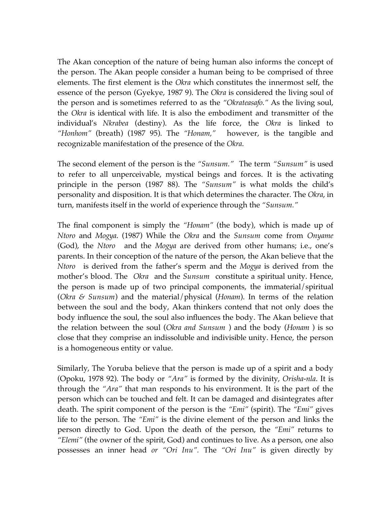The Akan conception of the nature of being human also informs the concept of the person. The Akan people consider a human being to be comprised of three elements. The first element is the *Okra* which constitutes the innermost self, the essence of the person (Gyekye, 1987 9). The *Okra* is considered the living soul of the person and is sometimes referred to as the *"Okrateasafo."* As the living soul, the *Okra* is identical with life. It is also the embodiment and transmitter of the individual's *Nkrabea* (destiny). As the life force, the *Okra* is linked to *"Honhom"* (breath) (1987 95). The *"Honam,"* however, is the tangible and recognizable manifestation of the presence of the *Okra*.

The second element of the person is the *"Sunsum."* The term *"Sunsum"* is used to refer to all unperceivable, mystical beings and forces. It is the activating principle in the person (1987 88). The *"Sunsum"* is what molds the child's personality and disposition. It is that which determines the character. The *Okra*, in turn, manifests itself in the world of experience through the *"Sunsum."* 

The final component is simply the *"Honam"* (the body), which is made up of *Ntoro* and *Mogya*. (1987) While the *Okra* and the *Sunsum* come from *Onyame* (God), the *Ntoro* and the *Mogya* are derived from other humans; i.e., one's parents. In their conception of the nature of the person, the Akan believe that the *Ntoro* is derived from the father's sperm and the *Mogya* is derived from the mother's blood. The *Okra* and the *Sunsum* constitute a spiritual unity. Hence, the person is made up of two principal components, the immaterial/spiritual (*Okra & Sunsum*) and the material/physical (*Honam*). In terms of the relation between the soul and the body, Akan thinkers contend that not only does the body influence the soul, the soul also influences the body. The Akan believe that the relation between the soul (*Okra and Sunsum* ) and the body (*Honam* ) is so close that they comprise an indissoluble and indivisible unity. Hence, the person is a homogeneous entity or value.

Similarly, The Yoruba believe that the person is made up of a spirit and a body (Opoku, 1978 92). The body or *"Ara"* is formed by the divinity, *Orisha-nla*. It is through the *"Ara"* that man responds to his environment. It is the part of the person which can be touched and felt. It can be damaged and disintegrates after death. The spirit component of the person is the *"Emi"* (spirit). The *"Emi"* gives life to the person. The *"Emi"* is the divine element of the person and links the person directly to God. Upon the death of the person, the *"Emi"* returns to *"Elemi"* (the owner of the spirit, God) and continues to live. As a person, one also possesses an inner head *or "Ori Inu".* The *"Ori Inu"* is given directly by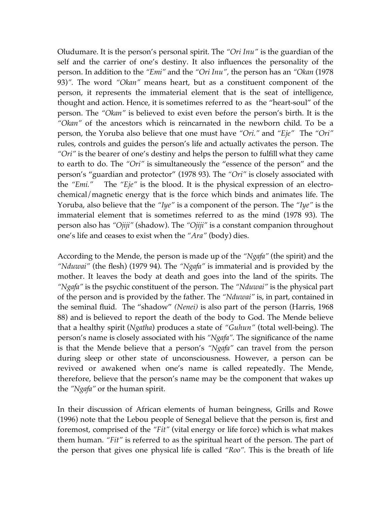Oludumare. It is the person's personal spirit. The *"Ori Inu"* is the guardian of the self and the carrier of one's destiny. It also influences the personality of the person. In addition to the *"Emi"* and the *"Ori Inu",* the person has an *"Okan* (1978 93)*".* The word *"Okan"* means heart, but as a constituent component of the person, it represents the immaterial element that is the seat of intelligence, thought and action. Hence, it is sometimes referred to as the "heart-soul" of the person. The *"Okan"* is believed to exist even before the person's birth. It is the *"Okan"* of the ancestors which is reincarnated in the newborn child. To be a person, the Yoruba also believe that one must have *"Ori."* and *"Eje"* The *"Ori"* rules, controls and guides the person's life and actually activates the person. The *"Ori"* is the bearer of one's destiny and helps the person to fulfill what they came to earth to do. The *"Ori"* is simultaneously the "essence of the person" and the person's "guardian and protector" (1978 93). The *"Ori"* is closely associated with the *"Emi."* The *"Eje"* is the blood. It is the physical expression of an electrochemical/magnetic energy that is the force which binds and animates life. The Yoruba, also believe that the *"Iye"* is a component of the person. The *"Iye"* is the immaterial element that is sometimes referred to as the mind (1978 93). The person also has *"Ojiji"* (shadow). The *"Ojiji"* is a constant companion throughout one's life and ceases to exist when the *"Ara"* (body) dies.

According to the Mende, the person is made up of the *"Ngafa"* (the spirit) and the *"Nduwai"* (the flesh) (1979 94). The *"Ngafa"* is immaterial and is provided by the mother. It leaves the body at death and goes into the land of the spirits. The *"Ngafa"* is the psychic constituent of the person. The *"Nduwai"* is the physical part of the person and is provided by the father. The *"Nduwai"* is, in part, contained in the seminal fluid. The "shadow" *(Nenei)* is also part of the person (Harris, 1968 88) and is believed to report the death of the body to God. The Mende believe that a healthy spirit (*Ngatha*) produces a state of *"Guhun"* (total well-being). The person's name is closely associated with his *"Ngafa".* The significance of the name is that the Mende believe that a person's *"Ngafa"* can travel from the person during sleep or other state of unconsciousness. However, a person can be revived or awakened when one's name is called repeatedly. The Mende, therefore, believe that the person's name may be the component that wakes up the *"Ngafa"* or the human spirit.

In their discussion of African elements of human beingness, Grills and Rowe (1996) note that the Lebou people of Senegal believe that the person is, first and foremost, comprised of the *"Fit"* (vital energy or life force) which is what makes them human. *"Fit"* is referred to as the spiritual heart of the person. The part of the person that gives one physical life is called *"Roo".* This is the breath of life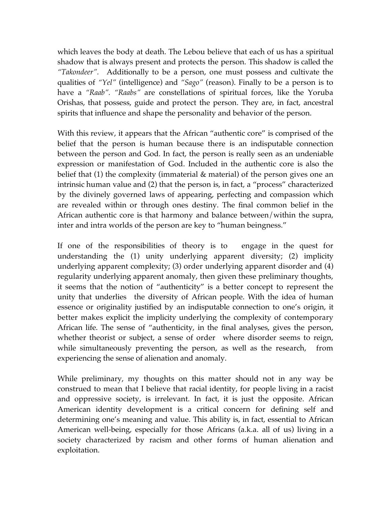which leaves the body at death. The Lebou believe that each of us has a spiritual shadow that is always present and protects the person. This shadow is called the *"Takondeer".* Additionally to be a person, one must possess and cultivate the qualities of *"Yel"* (intelligence) and *"Sago"* (reason). Finally to be a person is to have a *"Raab". "Raabs"* are constellations of spiritual forces, like the Yoruba Orishas, that possess, guide and protect the person. They are, in fact, ancestral spirits that influence and shape the personality and behavior of the person.

With this review, it appears that the African "authentic core" is comprised of the belief that the person is human because there is an indisputable connection between the person and God. In fact, the person is really seen as an undeniable expression or manifestation of God. Included in the authentic core is also the belief that (1) the complexity (immaterial & material) of the person gives one an intrinsic human value and (2) that the person is, in fact, a "process" characterized by the divinely governed laws of appearing, perfecting and compassion which are revealed within or through ones destiny. The final common belief in the African authentic core is that harmony and balance between/within the supra, inter and intra worlds of the person are key to "human beingness."

If one of the responsibilities of theory is to engage in the quest for understanding the (1) unity underlying apparent diversity; (2) implicity underlying apparent complexity; (3) order underlying apparent disorder and (4) regularity underlying apparent anomaly, then given these preliminary thoughts, it seems that the notion of "authenticity" is a better concept to represent the unity that underlies the diversity of African people. With the idea of human essence or originality justified by an indisputable connection to one's origin, it better makes explicit the implicity underlying the complexity of contemporary African life. The sense of "authenticity, in the final analyses, gives the person, whether theorist or subject, a sense of order where disorder seems to reign, while simultaneously preventing the person, as well as the research, from experiencing the sense of alienation and anomaly.

While preliminary, my thoughts on this matter should not in any way be construed to mean that I believe that racial identity, for people living in a racist and oppressive society, is irrelevant. In fact, it is just the opposite. African American identity development is a critical concern for defining self and determining one's meaning and value. This ability is, in fact, essential to African American well-being, especially for those Africans (a.k.a. all of us) living in a society characterized by racism and other forms of human alienation and exploitation.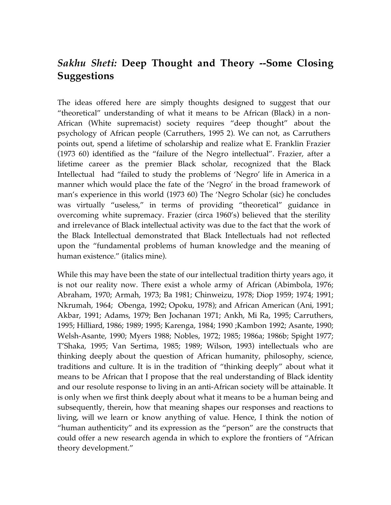# *Sakhu Sheti:* **Deep Thought and Theory --Some Closing Suggestions**

The ideas offered here are simply thoughts designed to suggest that our "theoretical" understanding of what it means to be African (Black) in a non-African (White supremacist) society requires "deep thought" about the psychology of African people (Carruthers, 1995 2). We can not, as Carruthers points out, spend a lifetime of scholarship and realize what E. Franklin Frazier (1973 60) identified as the "failure of the Negro intellectual". Frazier, after a lifetime career as the premier Black scholar, recognized that the Black Intellectual had "failed to study the problems of 'Negro' life in America in a manner which would place the fate of the 'Negro' in the broad framework of man's experience in this world (1973 60) The 'Negro Scholar (sic) he concludes was virtually "useless," in terms of providing "theoretical" guidance in overcoming white supremacy. Frazier (circa 1960's) believed that the sterility and irrelevance of Black intellectual activity was due to the fact that the work of the Black Intellectual demonstrated that Black Intellectuals had not reflected upon the "fundamental problems of human knowledge and the meaning of human existence." (italics mine).

While this may have been the state of our intellectual tradition thirty years ago, it is not our reality now. There exist a whole army of African (Abimbola, 1976; Abraham, 1970; Armah, 1973; Ba 1981; Chinweizu, 1978; Diop 1959; 1974; 1991; Nkrumah, 1964; Obenga, 1992; Opoku, 1978); and African American (Ani, 1991; Akbar, 1991; Adams, 1979; Ben Jochanan 1971; Ankh, Mi Ra, 1995; Carruthers, 1995; Hilliard, 1986; 1989; 1995; Karenga, 1984; 1990 ;Kambon 1992; Asante, 1990; Welsh-Asante, 1990; Myers 1988; Nobles, 1972; 1985; 1986a; 1986b; Spight 1977; T'Shaka, 1995; Van Sertima, 1985; 1989; Wilson, 1993) intellectuals who are thinking deeply about the question of African humanity, philosophy, science, traditions and culture. It is in the tradition of "thinking deeply" about what it means to be African that I propose that the real understanding of Black identity and our resolute response to living in an anti-African society will be attainable. It is only when we first think deeply about what it means to be a human being and subsequently, therein, how that meaning shapes our responses and reactions to living, will we learn or know anything of value. Hence, I think the notion of "human authenticity" and its expression as the "person" are the constructs that could offer a new research agenda in which to explore the frontiers of "African theory development."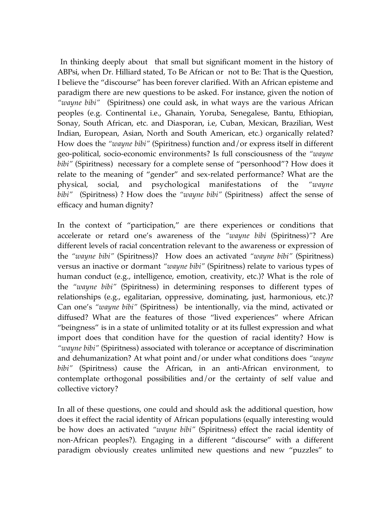In thinking deeply about that small but significant moment in the history of ABPsi, when Dr. Hilliard stated, To Be African or not to Be: That is the Question, I believe the "discourse" has been forever clarified. With an African episteme and paradigm there are new questions to be asked. For instance, given the notion of *"wayne bibi"* (Spiritness) one could ask, in what ways are the various African peoples (e.g. Continental i.e., Ghanain, Yoruba, Senegalese, Bantu, Ethiopian, Sonay, South African, etc. and Diasporan, i.e, Cuban, Mexican, Brazilian, West Indian, European, Asian, North and South American, etc.) organically related? How does the *"wayne bibi"* (Spiritness) function and/or express itself in different geo-political, socio-economic environments? Is full consciousness of the *"wayne bibi"* (Spiritness)necessary for a complete sense of "personhood"? How does it relate to the meaning of "gender" and sex-related performance? What are the physical, social, and psychological manifestations of the *"wayne bibi"* (Spiritness) ? How does the *"wayne bibi"* (Spiritness)affect the sense of efficacy and human dignity?

In the context of "participation," are there experiences or conditions that accelerate or retard one's awareness of the *"wayne bibi* (Spiritness)*"*? Are different levels of racial concentration relevant to the awareness or expression of the *"wayne bibi"* (Spiritness)? How does an activated *"wayne bibi"* (Spiritness) versus an inactive or dormant *"wayne bibi"* (Spiritness) relate to various types of human conduct (e.g., intelligence, emotion, creativity, etc.)? What is the role of the *"wayne bibi"* (Spiritness) in determining responses to different types of relationships (e.g., egalitarian, oppressive, dominating, just, harmonious, etc.)? Can one's *"wayne bibi"* (Spiritness)be intentionally, via the mind, activated or diffused? What are the features of those "lived experiences" where African "beingness" is in a state of unlimited totality or at its fullest expression and what import does that condition have for the question of racial identity? How is *"wayne bibi"* (Spiritness) associated with tolerance or acceptance of discrimination and dehumanization? At what point and/or under what conditions does *"wayne bibi"* (Spiritness) cause the African, in an anti-African environment, to contemplate orthogonal possibilities and/or the certainty of self value and collective victory?

In all of these questions, one could and should ask the additional question, how does it effect the racial identity of African populations (equally interesting would be how does an activated *"wayne bibi"* (Spiritness) effect the racial identity of non-African peoples?). Engaging in a different "discourse" with a different paradigm obviously creates unlimited new questions and new "puzzles" to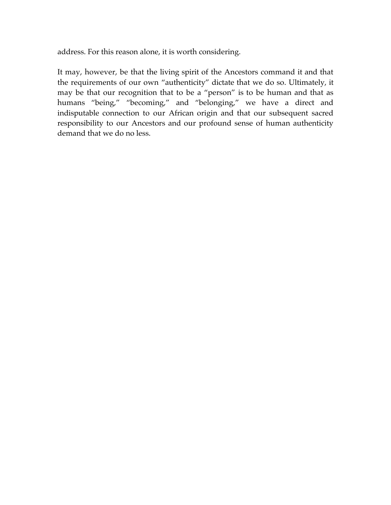address. For this reason alone, it is worth considering.

It may, however, be that the living spirit of the Ancestors command it and that the requirements of our own "authenticity" dictate that we do so. Ultimately, it may be that our recognition that to be a "person" is to be human and that as humans "being," "becoming," and "belonging," we have a direct and indisputable connection to our African origin and that our subsequent sacred responsibility to our Ancestors and our profound sense of human authenticity demand that we do no less.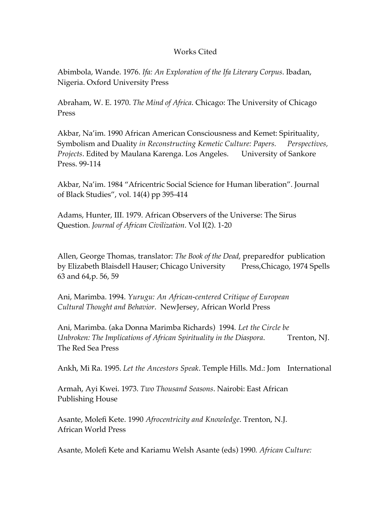### Works Cited

Abimbola, Wande. 1976. *Ifa: An Exploration of the Ifa Literary Corpus*. Ibadan, Nigeria. Oxford University Press

Abraham, W. E. 1970. *The Mind of Africa*. Chicago: The University of Chicago Press

Akbar, Na'im. 1990 African American Consciousness and Kemet: Spirituality, Symbolism and Duality *in Reconstructing Kemetic Culture: Papers. Perspectives, Projects*. Edited by Maulana Karenga. Los Angeles. University of Sankore Press. 99-114

Akbar, Na'im. 1984 "Africentric Social Science for Human liberation". Journal of Black Studies", vol. 14(4) pp 395-414

Adams, Hunter, III. 1979. African Observers of the Universe: The Sirus Question. *Journal of African Civilization*. Vol I(2). 1-20

Allen, George Thomas, translator: *The Book of the Dead*, preparedfor publication by Elizabeth Blaisdell Hauser; Chicago University Press,Chicago, 1974 Spells 63 and 64,p. 56, 59

Ani, Marimba. 1994. *Yurugu: An African-centered Critique of European Cultural Thought and Behavior*. NewJersey, African World Press

Ani, Marimba. (aka Donna Marimba Richards) 1994*. Let the Circle be Unbroken: The Implications of African Spirituality in the Diaspora.* Trenton, NJ. The Red Sea Press

Ankh, Mi Ra. 1995. *Let the Ancestors Speak*. Temple Hills. Md.: Jom International

Armah, Ayi Kwei. 1973. *Two Thousand Seasons*. Nairobi: East African Publishing House

Asante, Molefi Kete. 1990 *Afrocentricity and Knowledge*. Trenton, N.J. African World Press

Asante, Molefi Kete and Kariamu Welsh Asante (eds) 1990*. African Culture:*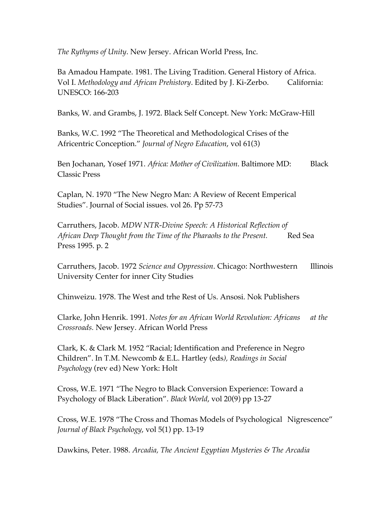*The Rythyms of Unity*. New Jersey. African World Press, Inc.

Ba Amadou Hampate. 1981. The Living Tradition. General History of Africa. Vol I. *Methodology and African Prehistory*. Edited by J. Ki-Zerbo. California: UNESCO: 166-203

Banks, W. and Grambs, J. 1972. Black Self Concept. New York: McGraw-Hill

Banks, W.C. 1992 "The Theoretical and Methodological Crises of the Africentric Conception." *Journal of Negro Education*, vol 61(3)

Ben Jochanan, Yosef 1971. *Africa: Mother of Civilization*. Baltimore MD: Black Classic Press

Caplan, N. 1970 "The New Negro Man: A Review of Recent Emperical Studies". Journal of Social issues. vol 26. Pp 57-73

Carruthers, Jacob. *MDW NTR-Divine Speech: A Historical Reflection of African Deep Thought from the Time of the Pharaohs to the Present.* Red Sea Press 1995. p. 2

Carruthers, Jacob. 1972 *Science and Oppression*. Chicago: Northwestern Illinois University Center for inner City Studies

Chinweizu. 1978. The West and trhe Rest of Us. Ansosi. Nok Publishers

Clarke, John Henrik. 1991. *Notes for an African World Revolution: Africans at the Crossroads.* New Jersey. African World Press

Clark, K. & Clark M. 1952 "Racial; Identification and Preference in Negro Children". In T.M. Newcomb & E.L. Hartley (eds*), Readings in Social Psychology* (rev ed) New York: Holt

Cross, W.E. 1971 "The Negro to Black Conversion Experience: Toward a Psychology of Black Liberation". *Black World*, vol 20(9) pp 13-27

Cross, W.E. 1978 "The Cross and Thomas Models of Psychological Nigrescence" *Journal of Black Psychology*, vol 5(1) pp. 13-19

Dawkins, Peter. 1988. *Arcadia, The Ancient Egyptian Mysteries & The Arcadia*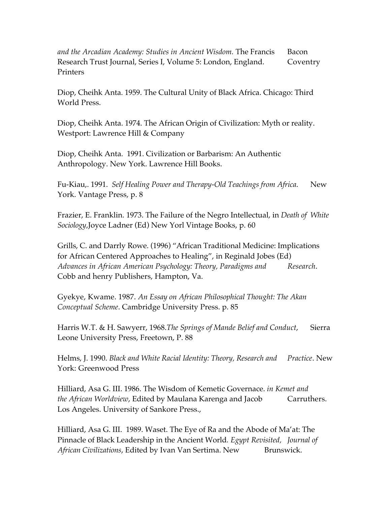*and the Arcadian Academy: Studies in Ancient Wisdom.* The Francis Bacon Research Trust Journal, Series I, Volume 5: London, England. Coventry Printers

Diop, Cheihk Anta. 1959. The Cultural Unity of Black Africa. Chicago: Third World Press.

Diop, Cheihk Anta. 1974. The African Origin of Civilization: Myth or reality. Westport: Lawrence Hill & Company

Diop, Cheihk Anta. 1991. Civilization or Barbarism: An Authentic Anthropology. New York. Lawrence Hill Books.

Fu-Kiau,. 1991. *Self Healing Power and Therapy-Old Teachings from Africa*. New York. Vantage Press, p. 8

Frazier, E. Franklin. 1973. The Failure of the Negro Intellectual, in *Death of White Sociology*,Joyce Ladner (Ed) New Yorl Vintage Books, p. 60

Grills, C. and Darrly Rowe. (1996) "African Traditional Medicine: Implications for African Centered Approaches to Healing", in Reginald Jobes (Ed) *Advances in African American Psychology: Theory, Paradigms and Research*. Cobb and henry Publishers, Hampton, Va.

Gyekye, Kwame. 1987. *An Essay on African Philosophical Thought: The Akan Conceptual Scheme*. Cambridge University Press. p. 85

Harris W.T. & H. Sawyerr, 1968.*The Springs of Mande Belief and Conduct*, Sierra Leone University Press, Freetown, P. 88

Helms, J. 1990. *Black and White Racial Identity: Theory, Research and Practice*. New York: Greenwood Press

Hilliard, Asa G. III. 1986. The Wisdom of Kemetic Governace. *in Kemet and the African Worldview*, Edited by Maulana Karenga and Jacob Carruthers. Los Angeles. University of Sankore Press.,

Hilliard, Asa G. III. 1989. Waset. The Eye of Ra and the Abode of Ma'at: The Pinnacle of Black Leadership in the Ancient World*. Egypt Revisited, Journal of African Civilizations, Edited by Ivan Van Sertima. New Brunswick.*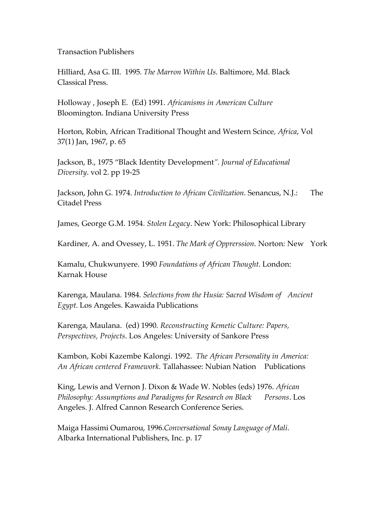Transaction Publishers

Hilliard, Asa G. III. 1995. *The Marron Within Us*. Baltimore, Md. Black Classical Press.

Holloway , Joseph E. (Ed) 1991. *Africanisms in American Culture* Bloomington. Indiana University Press

Horton, Robin, African Traditional Thought and Western Scince*, Africa*, Vol 37(1) Jan, 1967, p. 65

Jackson, B., 1975 "Black Identity Development*". Journal of Educational Diversity*. vol 2. pp 19-25

Jackson, John G. 1974. *Introduction to African Civilization*. Senancus, N.J.: The Citadel Press

James, George G.M. 1954. *Stolen Legacy*. New York: Philosophical Library

Kardiner, A. and Ovessey, L. 1951. *The Mark of Opprerssion*. Norton: New York

Kamalu, Chukwunyere. 1990 *Foundations of African Thought*. London: Karnak House

Karenga, Maulana. 1984. *Selections from the Husia: Sacred Wisdom of Ancient Egypt.* Los Angeles. Kawaida Publications

Karenga, Maulana. (ed) 1990*. Reconstructing Kemetic Culture: Papers, Perspectives, Projects*. Los Angeles: University of Sankore Press

Kambon, Kobi Kazembe Kalongi. 1992. *The African Personality in America: An African centered Framework.* Tallahassee: Nubian Nation Publications

King, Lewis and Vernon J. Dixon & Wade W. Nobles (eds) 1976. *African Philosophy: Assumptions and Paradigms for Research on Black Persons*. Los Angeles. J. Alfred Cannon Research Conference Series.

Maiga Hassimi Oumarou, 1996.*Conversational Sonay Language of Mali*. Albarka International Publishers, Inc. p. 17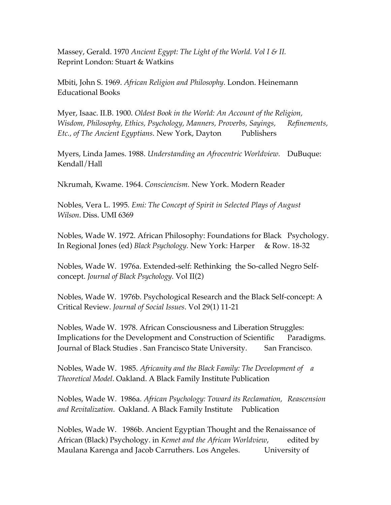Massey, Gerald. 1970 *Ancient Egypt: The Light of the World. Vol I & II.* Reprint London: Stuart & Watkins

Mbiti, John S. 1969. *African Religion and Philosophy*. London. Heinemann Educational Books

Myer, Isaac. II.B. 1900. *Oldest Book in the World: An Account of the Religion, Wisdom, Philosophy, Ethics, Psychology, Manners, Proverbs, Sayings, Refinements, Etc., of The Ancient Egyptians*. New York, Dayton Publishers

Myers, Linda James. 1988. *Understanding an Afrocentric Worldview.* DuBuque: Kendall/Hall

Nkrumah, Kwame. 1964. *Consciencism.* New York. Modern Reader

Nobles, Vera L. 1995*. Emi: The Concept of Spirit in Selected Plays of August Wilson*. Diss. UMI 6369

Nobles, Wade W. 1972. African Philosophy: Foundations for Black Psychology. In Regional Jones (ed) *Black Psychology*. New York: Harper & Row. 18-32

Nobles, Wade W. 1976a. Extended-self: Rethinking the So-called Negro Selfconcept. *Journal of Black Psychology.* Vol II(2)

Nobles, Wade W. 1976b. Psychological Research and the Black Self-concept: A Critical Review. *Journal of Social Issues*. Vol 29(1) 11-21

Nobles, Wade W. 1978. African Consciousness and Liberation Struggles: Implications for the Development and Construction of Scientific Paradigms. Journal of Black Studies . San Francisco State University. San Francisco.

Nobles, Wade W. 1985. *Africanity and the Black Family: The Development of a Theoretical Model*. Oakland. A Black Family Institute Publication

Nobles, Wade W. 1986a. *African Psychology: Toward its Reclamation, Reascension and Revitalization*. Oakland. A Black Family Institute Publication

Nobles, Wade W. 1986b. Ancient Egyptian Thought and the Renaissance of African (Black) Psychology. in *Kemet and the African Worldview*, edited by Maulana Karenga and Jacob Carruthers. Los Angeles. University of